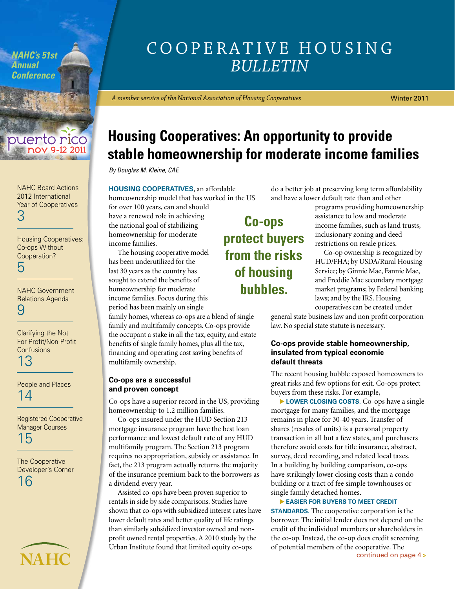<span id="page-0-0"></span>*NAHC's 51st Annual Conference*

## puerto rico

[NAHC Board Actions](#page-2-0)  2012 International Year of Cooperatives 3

[Housing Cooperatives:](#page-4-0)  Co-ops Without Cooperation? 5

[NAHC Government](#page-8-0)  Relations Agenda 9

Clarifying the Not [For Profit/Non Profit](#page-12-0)  **Confusions** 13

[People and Places](#page-13-0)  14

[Registered Cooperative](#page-14-0)  Manager Courses 15

The Cooperative [Developer's Corner](#page-15-0)  16

**NAHC**

## Cooperative Housing *Bulletin*

*A member service of the National Association of Housing Cooperatives*

Winter 2011

## **Housing Cooperatives: An opportunity to provide stable homeownership for moderate income families**

*By Douglas M. Kleine, CAE*

**Housing cooperatives**, an affordable homeownership model that has worked in the US

for over 100 years, can and should have a renewed role in achieving the national goal of stabilizing homeownership for moderate income families.

The housing cooperative model has been underutilized for the last 30 years as the country has sought to extend the benefits of homeownership for moderate income families. Focus during this period has been mainly on single

family homes, whereas co-ops are a blend of single family and multifamily concepts. Co-ops provide the occupant a stake in all the tax, equity, and estate benefits of single family homes, plus all the tax, financing and operating cost saving benefits of multifamily ownership.

#### **Co-ops are a successful and proven concept**

Co-ops have a superior record in the US, providing homeownership to 1.2 million families.

Co-ops insured under the HUD Section 213 mortgage insurance program have the best loan performance and lowest default rate of any HUD multifamily program. The Section 213 program requires no appropriation, subsidy or assistance. In fact, the 213 program actually returns the majority of the insurance premium back to the borrowers as a dividend every year.

Assisted co-ops have been proven superior to rentals in side by side comparisons. Studies have shown that co-ops with subsidized interest rates have lower default rates and better quality of life ratings than similarly subsidized investor owned and nonprofit owned rental properties. A 2010 study by the Urban Institute found that limited equity co-ops

**Co-ops of housing bubbles.**

do a better job at preserving long term affordability and have a lower default rate than and other

> programs providing homeownership assistance to low and moderate income families, such as land trusts, inclusionary zoning and deed restrictions on resale prices.

> Co-op ownership is recognized by HUD/FHA; by USDA/Rural Housing Service; by Ginnie Mae, Fannie Mae, and Freddie Mac secondary mortgage market programs; by Federal banking laws; and by the IRS. Housing cooperatives can be created under

general state business law and non profit corporation law. No special state statute is necessary.

#### **Co-ops provide stable homeownership, insulated from typical economic default threats**

The recent housing bubble exposed homeowners to great risks and few options for exit. Co-ops protect buyers from these risks. For example,

**LOWER CLOSING COSTS.** Co-ops have a single mortgage for many families, and the mortgage remains in place for 30-40 years. Transfer of shares (resales of units) is a personal property transaction in all but a few states, and purchasers therefore avoid costs for title insurance, abstract, survey, deed recording, and related local taxes. In a building by building comparison, co-ops have strikingly lower closing costs than a condo building or a tract of fee simple townhouses or single family detached homes.

continued o[n page 4](#page-3-0) **> easier for buyers to meet credit STANDARDS.** The cooperative corporation is the borrower. The initial lender does not depend on the credit of the individual members or shareholders in the co-op. Instead, the co-op does credit screening of potential members of the cooperative. The

# **protect buyers from the risks**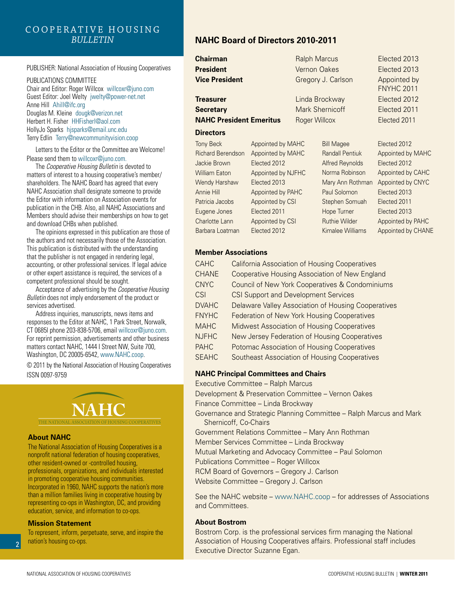#### Cooperative Housing *Bulletin*

#### PUBLISHER: National Association of Housing Cooperatives

PUBLICATIONS COMMITTEE Chair and Editor: Roger Willcox willcoxr@juno.com Guest Editor: Joel Welty jwelty@power-net.net Anne Hill Ahill@ifc.org Douglas M. Kleine dougk@verizon.net Herbert H. Fisher HHFisherl@aol.com HollyJo Sparks hjsparks@email.unc.edu Terry Edlin Terry@newcommunityvision.coop

Letters to the Editor or the Committee are Welcome! Please send them to willcoxr@juno.com.

The *Cooperative Housing Bulletin* is devoted to matters of interest to a housing cooperative's member/ shareholders. The NAHC Board has agreed that every NAHC Association shall designate someone to provide the Editor with information on Association events for publication in the CHB. Also, all NAHC Associations and Members should advise their memberships on how to get and download CHBs when published.

The opinions expressed in this publication are those of the authors and not necessarily those of the Association. This publication is distributed with the understanding that the publisher is not engaged in rendering legal, accounting, or other professional services. If legal advice or other expert assistance is required, the services of a competent professional should be sought.

Acceptance of advertising by the *Cooperative Housing Bulletin* does not imply endorsement of the product or services advertised.

Address inquiries, manuscripts, news items and responses to the Editor at NAHC, 1 Park Street, Norwalk, CT 0685l phone 203-838-5706, email willcoxr@juno.com. For reprint permission, advertisements and other business matters contact NAHC, 1444 I Street NW, Suite 700, Washington, DC 20005-6542, www.NAHC.coop.

© 2011 by the National Association of Housing Cooperatives ISSN 0097-9759

## **NAHC**

The National Association of Housing Cooperatives

#### **About NAHC**

The National Association of Housing Cooperatives is a nonprofit national federation of housing cooperatives, other resident-owned or -controlled housing, professionals, organizations, and individuals interested in promoting cooperative housing communities. Incorporated in 1960, NAHC supports the nation's more than a million families living in cooperative housing by representing co-ops in Washington, DC, and providing education, service, and information to co-ops.

#### **Mission Statement**

2

To represent, inform, perpetuate, serve, and inspire the nation's housing co-ops.

#### **NAHC Board of Directors 2010-2011**

**Chairman** Ralph Marcus Elected 2013

**Treasurer Elected 2012 Secretary** Mark Shernicoff Elected 2011 **NAHC President Emeritus** Roger Willcox Elected 2011

#### **Directors**

| <b>Tony Beck</b>         | Appointed by MAHC  |
|--------------------------|--------------------|
| <b>Richard Berendson</b> | Appointed by MAHC  |
| Jackie Brown             | Elected 2012       |
| <b>William Eaton</b>     | Appointed by NJFHC |
| Wendy Harshaw            | Elected 2013       |
| Annie Hill               | Appointed by PAHC  |
| Patricia Jacobs          | Appointed by CSI   |
| Eugene Jones             | Elected 2011       |
| <b>Charlotte Lann</b>    | Appointed by CSI   |
| Barbara Loatman          | Elected 2012       |

**President** Vernon Oakes Elected 2013 **Vice President** Gregory J. Carlson Appointed by

ed by PAHC

FNYHC 2011

Bill Magee Elected 2012 Randall Pentiuk Appointed by MAHC Alfred Reynolds Elected 2012 Norma Robinson Appointed by CAHC Mary Ann Rothman Appointed by CNYC Paul Solomon Elected 2013 Stephen Somuah Elected 2011 Hope Turner Elected 2013 Ruthie Wilder **Appointed by PAHC** Kimalee Williams Appointed by CHANE

#### **Member Associations**

| <b>CAHC</b>  | <b>California Association of Housing Cooperatives</b> |
|--------------|-------------------------------------------------------|
| <b>CHANE</b> | Cooperative Housing Association of New England        |
| <b>CNYC</b>  | Council of New York Cooperatives & Condominiums       |
| CSI          | <b>CSI Support and Development Services</b>           |
| <b>DVAHC</b> | Delaware Valley Association of Housing Cooperatives   |
| <b>FNYHC</b> | Federation of New York Housing Cooperatives           |
| <b>MAHC</b>  | Midwest Association of Housing Cooperatives           |
| <b>NJFHC</b> | New Jersey Federation of Housing Cooperatives         |
| <b>PAHC</b>  | Potomac Association of Housing Cooperatives           |
| <b>SEAHC</b> | <b>Southeast Association of Housing Cooperatives</b>  |

#### **NAHC Principal Committees and Chairs**

Executive Committee – Ralph Marcus

Development & Preservation Committee – Vernon Oakes

Finance Committee – Linda Brockway

Governance and Strategic Planning Committee – Ralph Marcus and Mark Shernicoff, Co-Chairs

Government Relations Committee – Mary Ann Rothman

Member Services Committee – Linda Brockway

Mutual Marketing and Advocacy Committee – Paul Solomon

Publications Committee – Roger Willcox

RCM Board of Governors – Gregory J. Carlson

Website Committee – Gregory J. Carlson

See the NAHC website – www.NAHC.coop – for addresses of Associations and Committees.

#### **About Bostrom**

Bostrom Corp. is the professional services firm managing the National Association of Housing Cooperatives affairs. Professional staff includes Executive Director Suzanne Egan.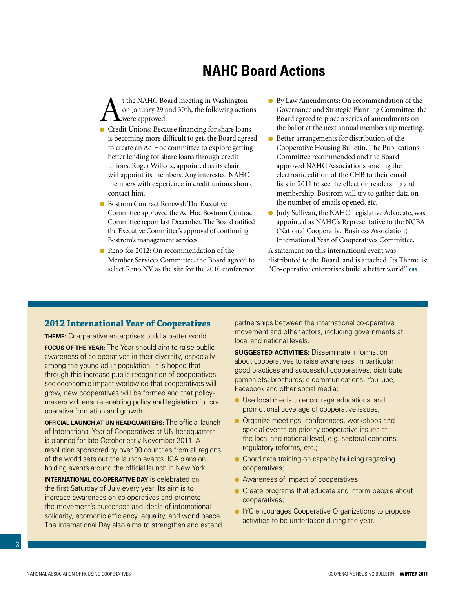## **NAHC Board Actions**

<span id="page-2-0"></span>t the NAHC Board meeting in Washington<br>on January 29 and 30th, the following action<br>of the Servey Servey francing for share loop on January 29 and 30th, the following actions were approved:

- Credit Unions: Because financing for share loans is becoming more difficult to get, the Board agreed to create an Ad Hoc committee to explore getting better lending for share loans through credit unions. Roger Willcox, appointed as its chair will appoint its members. Any interested NAHC members with experience in credit unions should contact him.
- Bostrom Contract Renewal: The Executive Committee approved the Ad Hoc Bostrom Contract Committee report last December. The Board ratified the Executive Committee's approval of continuing Bostrom's management services.
- Reno for 2012: On recommendation of the Member Services Committee, the Board agreed to select Reno NV as the site for the 2010 conference.
- By Law Amendments: On recommendation of the Governance and Strategic Planning Committee, the Board agreed to place a series of amendments on the ballot at the next annual membership meeting.
- Better arrangements for distribution of the Cooperative Housing Bulletin. The Publications Committee recommended and the Board approved NAHC Associations sending the electronic edition of the CHB to their email lists in 2011 to see the effect on readership and membership. Bostrom will try to gather data on the number of emails opened, etc.
- Judy Sullivan, the NAHC Legislative Advocate, was appointed as NAHC's Representative to the NCBA (National Cooperative Business Association) International Year of Cooperatives Committee.

A statement on this international event was distributed to the Board, and is attached. Its Theme is: "Co-operative enterprises build a better world". **chb**

#### **2012 International Year of Cooperatives**

**Theme:** Co-operative enterprises build a better world **FOCUS OF THE YEAR:** The Year should aim to raise public awareness of co-operatives in their diversity, especially among the young adult population. It is hoped that through this increase public recognition of cooperatives' socioeconomic impact worldwide that cooperatives will grow, new cooperatives will be formed and that policymakers will ensure enabling policy and legislation for cooperative formation and growth.

**OFFICIAL LAUNCH AT UN HEADQUARTERS:** The official launch of International Year of Cooperatives at UN headquarters is planned for late October-early November 2011. A resolution sponsored by over 90 countries from all regions of the world sets out the launch events. ICA plans on holding events around the official launch in New York.

**INTERNATIONAL CO-OPERATIVE DAY** is celebrated on the first Saturday of July every year. Its aim is to increase awareness on co-operatives and promote the movement's successes and ideals of international solidarity, ecomonic efficiency, equality, and world peace. The International Day also aims to strengthen and extend partnerships between the international co-operative movement and other actors, including governments at local and national levels.

**SUGGESTED ACTIVITIES: Disseminate information** about cooperatives to raise awareness, in particular good practices and successful cooperatives: distribute pamphlets; brochures; e-communications; YouTube, Facebook and other social media;

- Use local media to encourage educational and promotional coverage of cooperative issues;
- **Organize meetings, conferences, workshops and** special events on priority cooperative issues at the local and national level, e.g. sectoral concerns, regulatory reforms, etc.;
- Coordinate training on capacity building regarding cooperatives;
- Awareness of impact of cooperatives;
- **Create programs that educate and inform people about** cooperatives;
- **IYC** encourages Cooperative Organizations to propose activities to be undertaken during the year.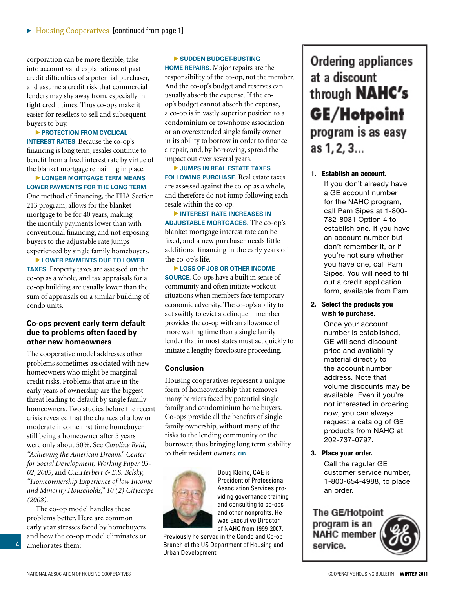<span id="page-3-0"></span>corporation can be more flexible, take into account valid explanations of past credit difficulties of a potential purchaser, and assume a credit risk that commercial lenders may shy away from, especially in tight credit times. Thus co-ops make it easier for resellers to sell and subsequent buyers to buy.

**PROTECTION FROM CYCLICAL INTEREST RATES.** Because the co-op's financing is long term, resales continue to benefit from a fixed interest rate by virtue of the blanket mortgage remaining in place.

**longer mortgage term means lower payments for the long term.** One method of financing, the FHA Section 213 program, allows for the blanket mortgage to be for 40 years, making the monthly payments lower than with conventional financing, and not exposing buyers to the adjustable rate jumps experienced by single family homebuyers.

**LOWER PAYMENTS DUE TO LOWER taxes.** Property taxes are assessed on the co-op as a whole, and tax appraisals for a co-op building are usually lower than the sum of appraisals on a similar building of condo units.

#### **Co-ops prevent early term default due to problems often faced by other new homeowners**

The cooperative model addresses other problems sometimes associated with new homeowners who might be marginal credit risks. Problems that arise in the early years of ownership are the biggest threat leading to default by single family homeowners. Two studies before the recent crisis revealed that the chances of a low or moderate income first time homebuyer still being a homeowner after 5 years were only about 50%. See *Caroline Reid, "Achieving the American Dream," Center for Social Development, Working Paper 05- 02, 2005,* and *C.E.Herbert & E.S. Belsky, "Homeownership Experience of low Income and Minority Households," 10 (2) Cityscape (2008).*

The co-op model handles these problems better. Here are common early year stresses faced by homebuyers and how the co-op model eliminates or ameliorates them:

#### **sudden budget-busting**

**home repairs.** Major repairs are the responsibility of the co-op, not the member. And the co-op's budget and reserves can usually absorb the expense. If the coop's budget cannot absorb the expense, a co-op is in vastly superior position to a condominium or townhouse association or an overextended single family owner in its ability to borrow in order to finance a repair, and, by borrowing, spread the impact out over several years.

**jumps in real estate taxes following purchase.** Real estate taxes are assessed against the co-op as a whole, and therefore do not jump following each resale within the co-op.

**EXECUTE: INTEREST RATE INCREASES IN adjustable mortgages.** The co-op's blanket mortgage interest rate can be fixed, and a new purchaser needs little additional financing in the early years of the co-op's life.

**LOSS OF JOB OR OTHER INCOME sOURCE**. Co-ops have a built in sense of community and often initiate workout situations when members face temporary economic adversity. The co-op's ability to act swiftly to evict a delinquent member provides the co-op with an allowance of more waiting time than a single family lender that in most states must act quickly to initiate a lengthy foreclosure proceeding.

#### **Conclusion**

Housing cooperatives represent a unique form of homeownership that removes many barriers faced by potential single family and condominium home buyers. Co-ops provide all the benefits of single family ownership, without many of the risks to the lending community or the borrower, thus bringing long term stability to their resident owners. CHB



Doug Kleine, CAE is President of Professional Association Services providing governance training and consulting to co-ops and other nonprofits. He was Executive Director of NAHC from 1999-2007.

Previously he served in the Condo and Co-op Branch of the US Department of Housing and Urban Development.

**Ordering appliances** at a discount through **NAHC's** GE/Hotpoint program is as easy as 1, 2, 3...

you re not sure wriether<br>you have one, call Pam you have one, can't am orpes. Tod will need to **1. Establish an account.** If you don't already have a GE account number for the NAHC program, call Pam Sipes at 1-800- 782-8031 Option 4 to establish one. If you have an account number but don't remember it, or if you're not sure whether form, available from Pam.

**2. Select the products you wish to purchase.** 

> Once your account number is established, GE will send discount price and availability material directly to the account number address. Note that volume discounts may be available. Even if you're not interested in ordering now, you can always request a catalog of GE products from NAHC at 202-737-0797.

**3. Place your order.** 

 Call the regular GE customer service number, 1-800-654-4988, to place an order.

The GE/Hotpoint program is an **NAHC** member service.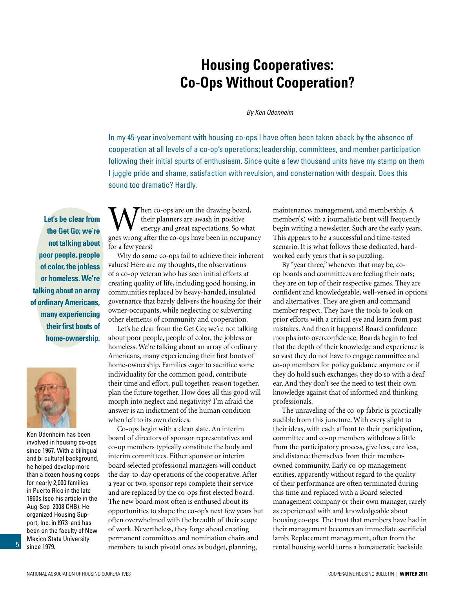## **Housing Cooperatives: Co-Ops Without Cooperation?**

*By Ken Odenheim*

<span id="page-4-0"></span>In my 45-year involvement with housing co-ops I have often been taken aback by the absence of cooperation at all levels of a co-op's operations; leadership, committees, and member participation following their initial spurts of enthusiasm. Since quite a few thousand units have my stamp on them I juggle pride and shame, satisfaction with revulsion, and consternation with despair. Does this sound too dramatic? Hardly.

**Let's be clear from the Get Go; we're not talking about poor people, people of color, the jobless or homeless. We're talking about an array of ordinary Americans, many experiencing their first bouts of home-ownership.** 



Ken Odenheim has been involved in housing co-ops since 1967. With a bilingual and bi cultural background, he helped develop more than a dozen housing coops for nearly 2,000 families in Puerto Rico in the late 1960s (see his article in the Aug-Sep 2008 CHB). He organized Housing Support, Inc. in l973 and has been on the faculty of New Mexico State University since 1979.

Then co-ops are on the drawing board, their planners are awash in positive energy and great expectations. So what goes wrong after the co-ops have been in occupancy for a few years?

Why do some co-ops fail to achieve their inherent values? Here are my thoughts, the observations of a co-op veteran who has seen initial efforts at creating quality of life, including good housing, in communities replaced by heavy-handed, insulated governance that barely delivers the housing for their owner-occupants, while neglecting or subverting other elements of community and cooperation.

Let's be clear from the Get Go; we're not talking about poor people, people of color, the jobless or homeless. We're talking about an array of ordinary Americans, many experiencing their first bouts of home-ownership. Families eager to sacrifice some individuality for the common good, contribute their time and effort, pull together, reason together, plan the future together. How does all this good will morph into neglect and negativity? I'm afraid the answer is an indictment of the human condition when left to its own devices.

Co-ops begin with a clean slate. An interim board of directors of sponsor representatives and co-op members typically constitute the body and interim committees. Either sponsor or interim board selected professional managers will conduct the day-to-day operations of the cooperative. After a year or two, sponsor reps complete their service and are replaced by the co-ops first elected board. The new board most often is enthused about its opportunities to shape the co-op's next few years but often overwhelmed with the breadth of their scope of work. Nevertheless, they forge ahead creating permanent committees and nomination chairs and members to such pivotal ones as budget, planning,

maintenance, management, and membership. A member(s) with a journalistic bent will frequently begin writing a newsletter. Such are the early years. This appears to be a successful and time-tested scenario. It is what follows these dedicated, hardworked early years that is so puzzling.

By "year three," whenever that may be, coop boards and committees are feeling their oats; they are on top of their respective games. They are confident and knowledgeable, well-versed in options and alternatives. They are given and command member respect. They have the tools to look on prior efforts with a critical eye and learn from past mistakes. And then it happens! Board confidence morphs into overconfidence. Boards begin to feel that the depth of their knowledge and experience is so vast they do not have to engage committee and co-op members for policy guidance anymore or if they do hold such exchanges, they do so with a deaf ear. And they don't see the need to test their own knowledge against that of informed and thinking professionals.

The unraveling of the co-op fabric is practically audible from this juncture. With every slight to their ideas, with each affront to their participation, committee and co-op members withdraw a little from the participatory process, give less, care less, and distance themselves from their memberowned community. Early co-op management entities, apparently without regard to the quality of their performance are often terminated during this time and replaced with a Board selected management company or their own manager, rarely as experienced with and knowledgeable about housing co-ops. The trust that members have had in their management becomes an immediate sacrificial lamb. Replacement management, often from the rental housing world turns a bureaucratic backside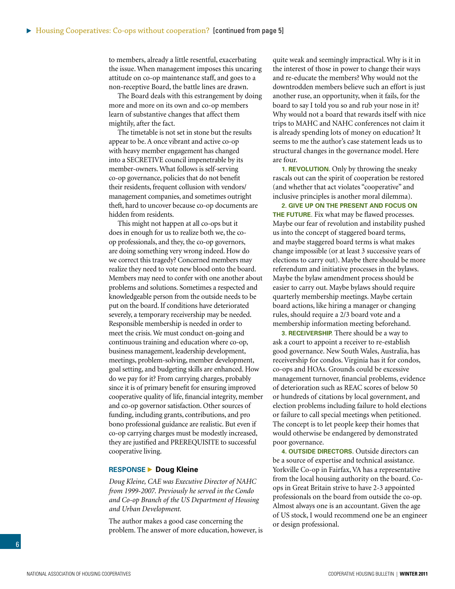<span id="page-5-0"></span>to members, already a little resentful, exacerbating the issue. When management imposes this uncaring attitude on co-op maintenance staff, and goes to a non-receptive Board, the battle lines are drawn.

The Board deals with this estrangement by doing more and more on its own and co-op members learn of substantive changes that affect them mightily, after the fact.

The timetable is not set in stone but the results appear to be. A once vibrant and active co-op with heavy member engagement has changed into a SECRETIVE council impenetrable by its member-owners. What follows is self-serving co-op governance, policies that do not benefit their residents, frequent collusion with vendors/ management companies, and sometimes outright theft, hard to uncover because co-op documents are hidden from residents.

This might not happen at all co-ops but it does in enough for us to realize both we, the coop professionals, and they, the co-op governors, are doing something very wrong indeed. How do we correct this tragedy? Concerned members may realize they need to vote new blood onto the board. Members may need to confer with one another about problems and solutions. Sometimes a respected and knowledgeable person from the outside needs to be put on the board. If conditions have deteriorated severely, a temporary receivership may be needed. Responsible membership is needed in order to meet the crisis. We must conduct on-going and continuous training and education where co-op, business management, leadership development, meetings, problem-solving, member development, goal setting, and budgeting skills are enhanced. How do we pay for it? From carrying charges, probably since it is of primary benefit for ensuring improved cooperative quality of life, financial integrity, member and co-op governor satisfaction. Other sources of funding, including grants, contributions, and pro bono professional guidance are realistic. But even if co-op carrying charges must be modestly increased, they are justified and PREREQUISITE to successful cooperative living.

#### **RESPONSE ▶ Doug Kleine**

*Doug Kleine, CAE was Executive Director of NAHC from 1999-2007. Previously he served in the Condo and Co-op Branch of the US Department of Housing and Urban Development.*

The author makes a good case concerning the problem. The answer of more education, however, is quite weak and seemingly impractical. Why is it in the interest of those in power to change their ways and re-educate the members? Why would not the downtrodden members believe such an effort is just another ruse, an opportunity, when it fails, for the board to say I told you so and rub your nose in it? Why would not a board that rewards itself with nice trips to MAHC and NAHC conferences not claim it is already spending lots of money on education? It seems to me the author's case statement leads us to structural changes in the governance model. Here are four.

**1. REVOLUTION.** Only by throwing the sneaky rascals out can the spirit of cooperation be restored (and whether that act violates "cooperative" and inclusive principles is another moral dilemma).

**2. Give up on the present and focus on THE FUTURE.** Fix what may be flawed processes. Maybe our fear of revolution and instability pushed us into the concept of staggered board terms, and maybe staggered board terms is what makes change impossible (or at least 3 successive years of elections to carry out). Maybe there should be more referendum and initiative processes in the bylaws. Maybe the bylaw amendment process should be easier to carry out. Maybe bylaws should require quarterly membership meetings. Maybe certain board actions, like hiring a manager or changing rules, should require a 2/3 board vote and a membership information meeting beforehand.

**3. RECEIVERSHIP.** There should be a way to ask a court to appoint a receiver to re-establish good governance. New South Wales, Australia, has receivership for condos. Virginia has it for condos, co-ops and HOAs. Grounds could be excessive management turnover, financial problems, evidence of deterioration such as REAC scores of below 50 or hundreds of citations by local government, and election problems including failure to hold elections or failure to call special meetings when petitioned. The concept is to let people keep their homes that would otherwise be endangered by demonstrated poor governance.

**4. Outside directors.** Outside directors can be a source of expertise and technical assistance. Yorkville Co-op in Fairfax, VA has a representative from the local housing authority on the board. Coops in Great Britain strive to have 2-3 appointed professionals on the board from outside the co-op. Almost always one is an accountant. Given the age of US stock, I would recommend one be an engineer or design professional.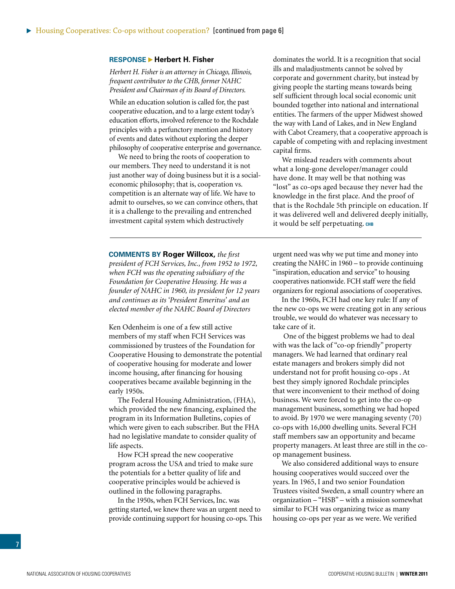#### <span id="page-6-0"></span>**RESPONSE ▶ Herbert H. Fisher**

#### *Herbert H. Fisher is an attorney in Chicago, Illinois, frequent contributor to the CHB, former NAHC President and Chairman of its Board of Directors.*

While an education solution is called for, the past cooperative education, and to a large extent today's education efforts, involved reference to the Rochdale principles with a perfunctory mention and history of events and dates without exploring the deeper philosophy of cooperative enterprise and governance.

We need to bring the roots of cooperation to our members. They need to understand it is not just another way of doing business but it is a socialeconomic philosophy; that is, cooperation vs. competition is an alternate way of life. We have to admit to ourselves, so we can convince others, that it is a challenge to the prevailing and entrenched investment capital system which destructively

dominates the world. It is a recognition that social ills and maladjustments cannot be solved by corporate and government charity, but instead by giving people the starting means towards being self sufficient through local social economic unit bounded together into national and international entities. The farmers of the upper Midwest showed the way with Land of Lakes, and in New England with Cabot Creamery, that a cooperative approach is capable of competing with and replacing investment capital firms.

We mislead readers with comments about what a long-gone developer/manager could have done. It may well be that nothing was "lost" as co-ops aged because they never had the knowledge in the first place. And the proof of that is the Rochdale 5th principle on education. If it was delivered well and delivered deeply initially, it would be self perpetuating. CHB

#### **Comments by Roger Willcox,** *the first*

*president of FCH Services, Inc., from 1952 to 1972, when FCH was the operating subsidiary of the Foundation for Cooperative Housing. He was a founder of NAHC in 1960, its president for 12 years and continues as its 'President Emeritus' and an elected member of the NAHC Board of Directors*

Ken Odenheim is one of a few still active members of my staff when FCH Services was commissioned by trustees of the Foundation for Cooperative Housing to demonstrate the potential of cooperative housing for moderate and lower income housing, after financing for housing cooperatives became available beginning in the early 1950s.

The Federal Housing Administration, (FHA), which provided the new financing, explained the program in its Information Bulletins, copies of which were given to each subscriber. But the FHA had no legislative mandate to consider quality of life aspects.

How FCH spread the new cooperative program across the USA and tried to make sure the potentials for a better quality of life and cooperative principles would be achieved is outlined in the following paragraphs.

In the 1950s, when FCH Services, Inc. was getting started, we knew there was an urgent need to provide continuing support for housing co-ops. This urgent need was why we put time and money into creating the NAHC in 1960 – to provide continuing "inspiration, education and service" to housing cooperatives nationwide. FCH staff were the field organizers for regional associations of cooperatives.

In the 1960s, FCH had one key rule: If any of the new co-ops we were creating got in any serious trouble, we would do whatever was necessary to take care of it.

 One of the biggest problems we had to deal with was the lack of "co-op friendly" property managers. We had learned that ordinary real estate managers and brokers simply did not understand not for profit housing co-ops . At best they simply ignored Rochdale principles that were inconvenient to their method of doing business. We were forced to get into the co-op management business, something we had hoped to avoid. By 1970 we were managing seventy (70) co-ops with 16,000 dwelling units. Several FCH staff members saw an opportunity and became property managers. At least three are still in the coop management business.

We also considered additional ways to ensure housing cooperatives would succeed over the years. In 1965, I and two senior Foundation Trustees visited Sweden, a small country where an organization – "HSB" – with a mission somewhat similar to FCH was organizing twice as many housing co-ops per year as we were. We verified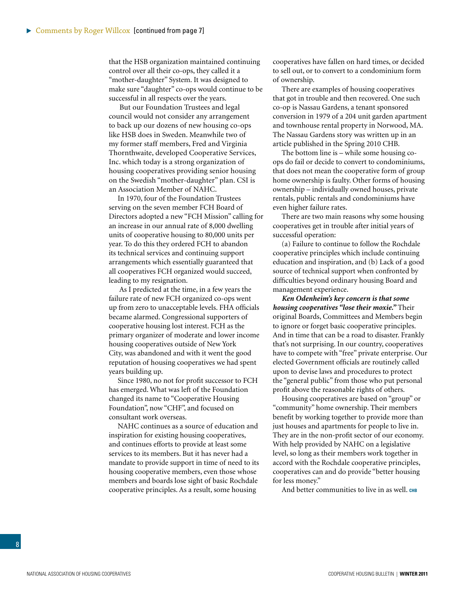that the HSB organization maintained continuing control over all their co-ops, they called it a "mother-daughter" System. It was designed to make sure "daughter" co-ops would continue to be successful in all respects over the years.

 But our Foundation Trustees and legal council would not consider any arrangement to back up our dozens of new housing co-ops like HSB does in Sweden. Meanwhile two of my former staff members, Fred and Virginia Thornthwaite, developed Cooperative Services, Inc. which today is a strong organization of housing cooperatives providing senior housing on the Swedish "mother-daughter" plan. CSI is an Association Member of NAHC.

In 1970, four of the Foundation Trustees serving on the seven member FCH Board of Directors adopted a new "FCH Mission" calling for an increase in our annual rate of 8,000 dwelling units of cooperative housing to 80,000 units per year. To do this they ordered FCH to abandon its technical services and continuing support arrangements which essentially guaranteed that all cooperatives FCH organized would succeed, leading to my resignation.

 As I predicted at the time, in a few years the failure rate of new FCH organized co-ops went up from zero to unacceptable levels. FHA officials became alarmed. Congressional supporters of cooperative housing lost interest. FCH as the primary organizer of moderate and lower income housing cooperatives outside of New York City, was abandoned and with it went the good reputation of housing cooperatives we had spent years building up.

Since 1980, no not for profit successor to FCH has emerged. What was left of the Foundation changed its name to "Cooperative Housing Foundation", now "CHF", and focused on consultant work overseas.

NAHC continues as a source of education and inspiration for existing housing cooperatives, and continues efforts to provide at least some services to its members. But it has never had a mandate to provide support in time of need to its housing cooperative members, even those whose members and boards lose sight of basic Rochdale cooperative principles. As a result, some housing

cooperatives have fallen on hard times, or decided to sell out, or to convert to a condominium form of ownership.

There are examples of housing cooperatives that got in trouble and then recovered. One such co-op is Nassau Gardens, a tenant sponsored conversion in 1979 of a 204 unit garden apartment and townhouse rental property in Norwood, MA. The Nassau Gardens story was written up in an article published in the Spring 2010 CHB.

The bottom line is – while some housing coops do fail or decide to convert to condominiums, that does not mean the cooperative form of group home ownership is faulty. Other forms of housing ownership – individually owned houses, private rentals, public rentals and condominiums have even higher failure rates.

There are two main reasons why some housing cooperatives get in trouble after initial years of successful operation:

(a) Failure to continue to follow the Rochdale cooperative principles which include continuing education and inspiration, and (b) Lack of a good source of technical support when confronted by difficulties beyond ordinary housing Board and management experience.

*Ken Odenheim's key concern is that some housing cooperatives "lose their moxie."* Their original Boards, Committees and Members begin to ignore or forget basic cooperative principles. And in time that can be a road to disaster. Frankly that's not surprising. In our country, cooperatives have to compete with "free" private enterprise. Our elected Government officials are routinely called upon to devise laws and procedures to protect the "general public" from those who put personal profit above the reasonable rights of others.

Housing cooperatives are based on "group" or "community" home ownership. Their members benefit by working together to provide more than just houses and apartments for people to live in. They are in the non-profit sector of our economy. With help provided by NAHC on a legislative level, so long as their members work together in accord with the Rochdale cooperative principles, cooperatives can and do provide "better housing for less money."

And better communities to live in as well. CHB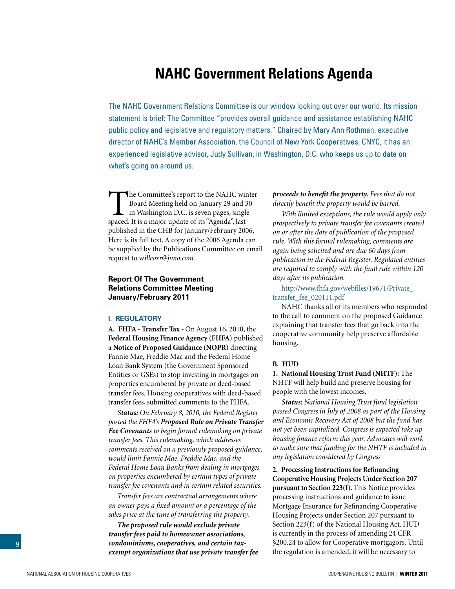## **NAHC Government Relations Agenda**

<span id="page-8-0"></span>The NAHC Government Relations Committee is our window looking out over our world. Its mission statement is brief: The Committee "provides overall guidance and assistance establishing NAHC public policy and legislative and regulatory matters." Chaired by Mary Ann Rothman, executive director of NAHC's Member Association, the Council of New York Cooperatives, CNYC, it has an experienced legislative advisor, Judy Sullivan, in Washington, D.C. who keeps us up to date on what's going on around us.

The Committee's report to the NAHC winter<br>Board Meeting held on January 29 and 30<br>in Washington D.C. is seven pages, single<br>spaced It is a major undate of its "Agenda" last Board Meeting held on January 29 and 30 in Washington D.C. is seven pages, single spaced. It is a major update of its "Agenda", last published in the CHB for January/February 2006, Here is its full text. A copy of the 2006 Agenda can be supplied by the Publications Committee on email request to w*illcoxr@juno.com.*

#### **Report Of The Government Relations Committee Meeting January/February 2011**

#### **I. Regulatory**

**A. FHFA - Transfer Tax -** On August 16, 2010, the **Federal Housing Finance Agency (FHFA)** published a **Notice of Proposed Guidance (NOPR)** directing Fannie Mae, Freddie Mac and the Federal Home Loan Bank System (the Government Sponsored Entities or GSEs) to stop investing in mortgages on properties encumbered by private or deed-based transfer fees. Housing cooperatives with deed-based transfer fees, submitted comments to the FHFA.

*Status: On February 8, 2010, the Federal Register posted the FHFA's Proposed Rule on Private Transfer Fee Covenants to begin formal rulemaking on private transfer fees. This rulemaking, which addresses comments received on a previously proposed guidance, would limit Fannie Mae, Freddie Mac, and the Federal Home Loan Banks from dealing in mortgages on properties encumbered by certain types of private transfer fee covenants and in certain related securities.* 

*Transfer fees are contractual arrangements where an owner pays a fixed amount or a percentage of the sales price at the time of transferring the property.*

*The proposed rule would exclude private transfer fees paid to homeowner associations, condominiums, cooperatives, and certain taxexempt organizations that use private transfer fee*  *proceeds to benefit the property. Fees that do not directly benefit the property would be barred.*

*With limited exceptions, the rule would apply only prospectively to private transfer fee covenants created on or after the date of publication of the proposed rule. With this formal rulemaking, comments are again being solicited and are due 60 days from publication in the Federal Register. Regulated entities are required to comply with the final rule within 120 days after its publication.*

[http://www.fhfa.gov/webfiles/19671/Private\\_](http://www.fhfa.gov/webfiles/19671/Private_transfer_fee_020111.pdf) [transfer\\_fee\\_020111.pdf](http://www.fhfa.gov/webfiles/19671/Private_transfer_fee_020111.pdf)

NAHC thanks all of its members who responded to the call to comment on the proposed Guidance explaining that transfer fees that go back into the cooperative community help preserve affordable housing.

#### **B. HUD**

**1. National Housing Trust Fund (NHTF):** The NHTF will help build and preserve housing for people with the lowest incomes.

*Status: National Housing Trust fund legislation passed Congress in July of 2008 as part of the Housing and Economic Recovery Act of 2008 but the fund has not yet been capitalized. Congress is expected take up housing finance reform this year. Advocates will work to make sure that funding for the NHTF is included in any legislation considered by Congress*

**2. Processing Instructions for Refinancing Cooperative Housing Projects Under Section 207 pursuant to Section 223(f)**. This Notice provides processing instructions and guidance to issue Mortgage Insurance for Refinancing Cooperative Housing Projects under Section 207 pursuant to Section 223(f) of the National Housing Act. HUD is currently in the process of amending 24 CFR §200.24 to allow for Cooperative mortgagors. Until the regulation is amended, it will be necessary to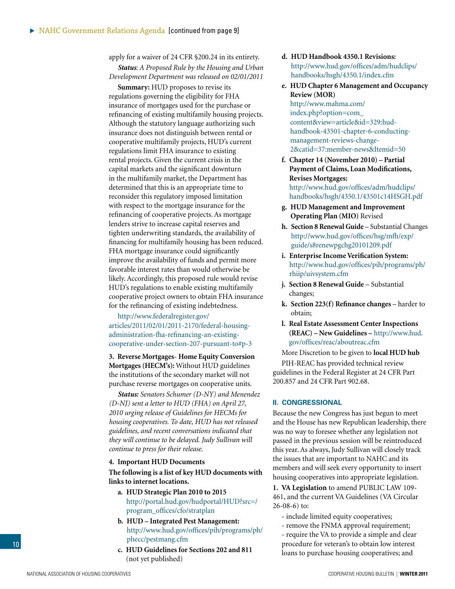<span id="page-9-0"></span>apply for a waiver of 24 CFR §200.24 in its entirety.

*Status: A Proposed Rule by the Housing and Urban Development Department was released on 02/01/2011* 

**Summary:** HUD proposes to revise its regulations governing the eligibility for FHA insurance of mortgages used for the purchase or refinancing of existing multifamily housing projects. Although the statutory language authorizing such insurance does not distinguish between rental or cooperative multifamily projects, HUD's current regulations limit FHA insurance to existing rental projects. Given the current crisis in the capital markets and the significant downturn in the multifamily market, the Department has determined that this is an appropriate time to reconsider this regulatory imposed limitation with respect to the mortgage insurance for the refinancing of cooperative projects. As mortgage lenders strive to increase capital reserves and tighten underwriting standards, the availability of financing for multifamily housing has been reduced. FHA mortgage insurance could significantly improve the availability of funds and permit more favorable interest rates than would otherwise be likely. Accordingly, this proposed rule would revise HUD's regulations to enable existing multifamily cooperative project owners to obtain FHA insurance for the refinancing of existing indebtedness.

[http://www.federalregister.gov/](http://www.federalregister.gov/articles/2011/02/01/2011-2170/federal-housing-administration-fha-refinancing-an-existing-cooperative-under-section-207-pursuant-to#p-3) [articles/2011/02/01/2011-2170/federal-housing](http://www.federalregister.gov/articles/2011/02/01/2011-2170/federal-housing-administration-fha-refinancing-an-existing-cooperative-under-section-207-pursuant-to#p-3)[administration-fha-refinancing-an-existing](http://www.federalregister.gov/articles/2011/02/01/2011-2170/federal-housing-administration-fha-refinancing-an-existing-cooperative-under-section-207-pursuant-to#p-3)[cooperative-under-section-207-pursuant-to#p-3](http://www.federalregister.gov/articles/2011/02/01/2011-2170/federal-housing-administration-fha-refinancing-an-existing-cooperative-under-section-207-pursuant-to#p-3)

**3. Reverse Mortgages**- **Home Equity Conversion Mortgages (HECM's):** Without HUD guidelines the institutions of the secondary market will not purchase reverse mortgages on cooperative units.

*Status: Senators Schumer (D-NY) and Menendez (D-NJ) sent a letter to HUD (FHA) on April 27, 2010 urging release of Guidelines for HECMs for housing cooperatives. To date, HUD has not released guidelines, and recent conversations indicated that they will continue to be delayed. Judy Sullivan will continue to press for their release.* 

#### **4. Important HUD Documents**

**The following is a list of key HUD documents with links to internet locations.**

- **a. HUD Strategic Plan 2010 to 2015**  [http://portal.hud.gov/hudportal/HUD?src=/](http://portal.hud.gov/hudportal/HUD?src=/program_offices/cfo/stratplan) [program\\_offices/cfo/stratplan](http://portal.hud.gov/hudportal/HUD?src=/program_offices/cfo/stratplan)
- **b. HUD Integrated Pest Management:** [http://www.hud.gov/offices/pih/programs/ph/](http://www.hud.gov/offices/pih/programs/ph/phecc/pestmang.cfm) [phecc/pestman](http://www.hud.gov/offices/pih/programs/ph/phecc/pestmang.cfm)g.cfm
- **c. HUD Guidelines for Sections 202 and 811** (not yet published)
- **d. HUD Handbook 4350.1 Revisions:**  [http://www.hud.gov/offices/adm/hudclips/](http://www.hud.gov/offices/adm/hudclips/handbooks/hsgh/4350.1/index.cfm) [handbooks/hsgh/4350.1/index.cfm](http://www.hud.gov/offices/adm/hudclips/handbooks/hsgh/4350.1/index.cfm)
- **e. HUD Chapter 6 Management and Occupancy Review (MOR)**  [http://www.mahma.com/](http://www.mahma.com/index.php?option=com_content&view=article&id=329:hud-handbook-43501-chapter-6-conducting-management-reviews-change-2&catid=37:member-news&Itemid=50) [index.php?option=com\\_](http://www.mahma.com/index.php?option=com_content&view=article&id=329:hud-handbook-43501-chapter-6-conducting-management-reviews-change-2&catid=37:member-news&Itemid=50)

[content&view=article&id=329:hud](http://www.mahma.com/index.php?option=com_content&view=article&id=329:hud-handbook-43501-chapter-6-conducting-management-reviews-change-2&catid=37:member-news&Itemid=50)[handbook-43501-chapter-6-conducting](http://www.mahma.com/index.php?option=com_content&view=article&id=329:hud-handbook-43501-chapter-6-conducting-management-reviews-change-2&catid=37:member-news&Itemid=50)[management-reviews-change-](http://www.mahma.com/index.php?option=com_content&view=article&id=329:hud-handbook-43501-chapter-6-conducting-management-reviews-change-2&catid=37:member-news&Itemid=50)[2&catid=37:member-news&Itemid=50](http://www.mahma.com/index.php?option=com_content&view=article&id=329:hud-handbook-43501-chapter-6-conducting-management-reviews-change-2&catid=37:member-news&Itemid=50)

- **f. Chapter 14 (November 2010) Partial Payment of Claims, Loan Modifications, Revises Mortgages:**  [http://www.hud.gov/offices/adm/hudclips/](http://www.hud.gov/offices/adm/hudclips/handbooks/hsgh/4350.1/43501c14HSGH.pdf) [handbooks/hsgh/4350.1/43501c14HSGH.pdf](http://www.hud.gov/offices/adm/hudclips/handbooks/hsgh/4350.1/43501c14HSGH.pdf)
- **g. HUD Management and Improvement Operating Plan (MIO)** Revised
- **h. Section 8 Renewal Guide**  Substantial Changes [http://www.hud.gov/offices/hsg/mfh/exp/](http://www.hud.gov/offices/hsg/mfh/exp/guide/s8renewpgchg20101209.pdf) [guide/s8renewpgchg20101209.pdf](http://www.hud.gov/offices/hsg/mfh/exp/guide/s8renewpgchg20101209.pdf)
- **i. Enterprise Income Verification System:** [http://www.hud.gov/offices/pih/programs/ph/](http://www.hud.gov/offices/pih/programs/ph/rhiip/uivsystem.cfm) [rhiip/uivsystem.cfm](http://www.hud.gov/offices/pih/programs/ph/rhiip/uivsystem.cfm)
- **j. Section 8 Renewal Guide** Substantial changes;
- **k. Section 223(f) Refinance changes**  harder to obtain;
- **l. Real Estate Assessment Center Inspections (REAC) – New Guidelines –** [http://www.hud.](http://www.hud.gov/offices/reac/aboutreac.cfm) [gov/offices/reac/aboutreac.cfm](http://www.hud.gov/offices/reac/aboutreac.cfm)

More Discretion to be given to **local HUD hub**  PIH-REAC has provided technical review guidelines in the Federal Register at [24 CFR Part](http://www.hud.gov/offices/reac/pdf/uniform_stds.pdf)  [200.857](http://www.hud.gov/offices/reac/pdf/uniform_stds.pdf) and [24 CFR Part 902.68.](http://www.hud.gov/offices/reac/pdf/591.pdf)

#### **II. Congressional**

Because the new Congress has just begun to meet and the House has new Republican leadership, there was no way to foresee whether any legislation not passed in the previous session will be reintroduced this year. As always, Judy Sullivan will closely track the issues that are important to NAHC and its members and will seek every opportunity to insert housing cooperatives into appropriate legislation.

**1. VA Legislation** to amend PUBLIC LAW 109- 461, and the current VA Guidelines (VA Circular 26-08-6) to:

- include limited equity cooperatives;
- remove the FNMA approval requirement;
- require the VA to provide a simple and clear procedure for veteran's to obtain low interest loans to purchase housing cooperatives; and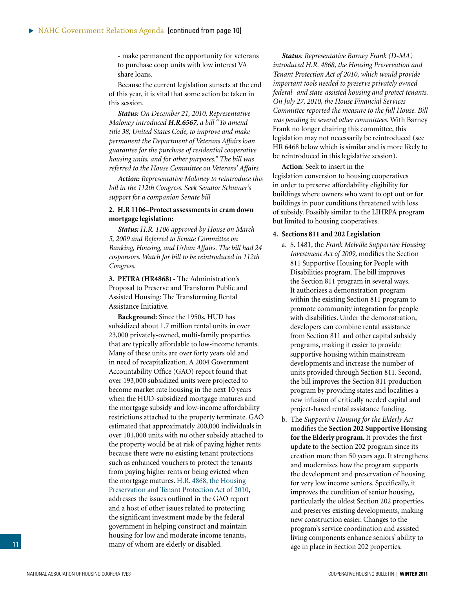<span id="page-10-0"></span>- make permanent the opportunity for veterans to purchase coop units with low interest VA share loans.

Because the current legislation sunsets at the end of this year, it is vital that some action be taken in this session.

*Status: On December 21, 2010, Representative Maloney introduced H.R.6567, a bill "To amend title 38, United States Code, to improve and make permanent the Department of Veterans Affairs loan guarantee for the purchase of residential cooperative housing units, and for other purposes." The bill was referred to the House Committee on Veterans' Affairs.*

*Action: Representative Maloney to reintroduce this bill in the 112th Congress. Seek Senator Schumer's support for a companion Senate bill* 

#### **2. H.R 1106–Protect assessments in cram down mortgage legislation:**

*Status: H.R. 1106 approved by House on March 5, 2009 and Referred to Senate Committee on Banking, Housing, and Urban Affairs. The bill had 24 cosponsors. Watch for bill to be reintroduced in 112th Congress.*

**3. PETRA (HR4868) -** The Administration's Proposal to Preserve and Transform Public and Assisted Housing: The Transforming Rental Assistance Initiative.

**Background:** Since the 1950s, HUD has subsidized about 1.7 million rental units in over 23,000 privately-owned, multi-family properties that are typically affordable to low-income tenants. Many of these units are over forty years old and in need of recapitalization. A 2004 Government Accountability Office (GAO) report found that over 193,000 subsidized units were projected to become market rate housing in the next 10 years when the HUD-subsidized mortgage matures and the mortgage subsidy and low-income affordability restrictions attached to the property terminate. GAO estimated that approximately 200,000 individuals in over 101,000 units with no other subsidy attached to the property would be at risk of paying higher rents because there were no existing tenant protections such as enhanced vouchers to protect the tenants from paying higher rents or being evicted when the mortgage matures. [H.R. 4868, the Housing](http://financialservices.house.gov/Key_Issues/HR4868_Housing_Preservation_and_Tenant_Protection/hr4868_bill_text.pdf)  [Preservation and Tenant Protection Act of 2010,](http://financialservices.house.gov/Key_Issues/HR4868_Housing_Preservation_and_Tenant_Protection/hr4868_bill_text.pdf) addresses the issues outlined in the GAO report and a host of other issues related to protecting the significant investment made by the federal government in helping construct and maintain housing for low and moderate income tenants, many of whom are elderly or disabled.

*Status: Representative Barney Frank (D-MA) introduced H.R. 4868, the Housing Preservation and Tenant Protection Act of 2010, which would provide important tools needed to preserve privately owned federal- and state-assisted housing and protect tenants. On July 27, 2010, the House Financial Services Committee reported the measure to the full House. Bill was pending in several other committees.* With Barney Frank no longer chairing this committee, this legislation may not necessarily be reintroduced (see HR 6468 below which is similar and is more likely to be reintroduced in this legislative session).

**Action**: Seek to insert in the legislation conversion to housing cooperatives in order to preserve affordability eligibility for buildings where owners who want to opt out or for buildings in poor conditions threatened with loss of subsidy. Possibly similar to the LIHRPA program but limited to housing cooperatives.

#### **4. Sections 811 and 202 Legislation**

- a. S. 1481, the *Frank Melville Supportive Housing Investment Act of 2009,* modifies the Section 811 Supportive Housing for People with Disabilities program. The bill improves the Section 811 program in several ways. It authorizes a demonstration program within the existing Section 811 program to promote community integration for people with disabilities. Under the demonstration, developers can combine rental assistance from Section 811 and other capital subsidy programs, making it easier to provide supportive housing within mainstream developments and increase the number of units provided through Section 811. Second, the bill improves the Section 811 production program by providing states and localities a new infusion of critically needed capital and project-based rental assistance funding.
- b. The *Supportive Housing for the Elderly Act* modifies the **Section 202 Supportive Housing for the Elderly program.** It provides the first update to the Section 202 program since its creation more than 50 years ago. It strengthens and modernizes how the program supports the development and preservation of housing for very low income seniors. Specifically, it improves the condition of senior housing, particularly the oldest Section 202 properties, and preserves existing developments, making new construction easier. Changes to the program's service coordination and assisted living components enhance seniors' ability to age in place in Section 202 properties.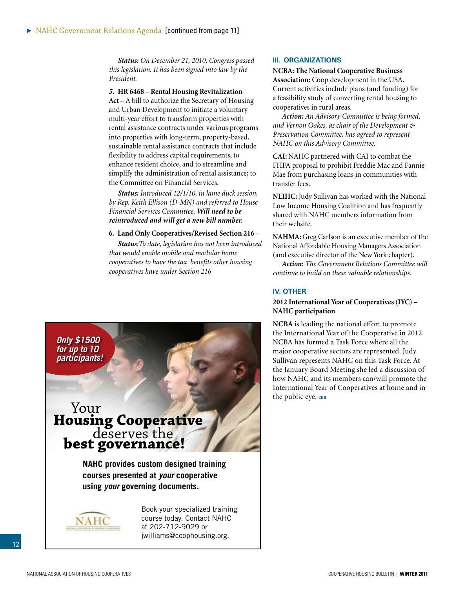*Status: On December 21, 2010, Congress passed this legislation. It has been signed into law by the President.*

#### *5.* **HR 6468 – Rental Housing Revitalization**

**Act –** A bill to authorize the Secretary of Housing and Urban Development to initiate a voluntary multi-year effort to transform properties with rental assistance contracts under various programs into properties with long-term, property-based, sustainable rental assistance contracts that include flexibility to address capital requirements, to enhance resident choice, and to streamline and simplify the administration of rental assistance; to the Committee on Financial Services.

*Status: Introduced 12/1/10, in lame duck session, by Rep. Keith Ellison (D-MN) and referred to House Financial Services Committee. Will need to be reintroduced and will get a new bill number.*

#### **6. Land Only Cooperatives/Revised Section 216 –**

*Status:To date, legislation has not been introduced that would enable mobile and modular home cooperatives to have the tax benefits other housing cooperatives have under Section 216*



#### **III. Organizations**

**NCBA: The National Cooperative Business Association:** Coop development in the USA. Current activities include plans (and funding) for a feasibility study of converting rental housing to cooperatives in rural areas.

*Action: An Advisory Committee is being formed, and Vernon Oakes, as chair of the Development & Preservation Committee, has agreed to represent NAHC on this Advisory Committee.* 

**CAI:** NAHC partnered with CAI to combat the FHFA proposal to prohibit Freddie Mac and Fannie Mae from purchasing loans in communities with transfer fees*.* 

**NLIHC:** Judy Sullivan has worked with the National Low Income Housing Coalition and has frequently shared with NAHC members information from their website.

**NAHMA:** Greg Carlson is an executive member of the National Affordable Housing Managers Association (and executive director of the New York chapter).

*Action*: *The Government Relations Committee will continue to build on these valuable relationships.* 

#### **IV. OTHER**

#### **2012 International Year of Cooperatives (IYC) – NAHC participation**

**NCBA** is leading the national effort to promote the International Year of the Cooperative in 2012. NCBA has formed a Task Force where all the major cooperative sectors are represented. Judy Sullivan represents NAHC on this Task Force. At the January Board Meeting she led a discussion of how NAHC and its members can/will promote the International Year of Cooperatives at home and in the public eye. CHB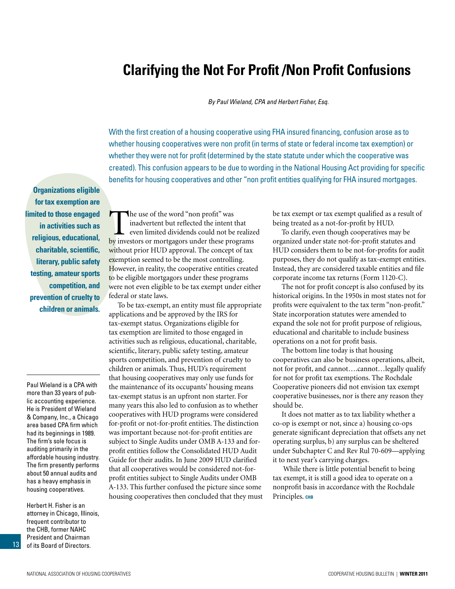## <span id="page-12-0"></span>**Clarifying the Not For Profit /Non Profit Confusions**

*By Paul Wieland, CPA and Herbert Fisher, Esq.*

With the first creation of a housing cooperative using FHA insured financing, confusion arose as to whether housing cooperatives were non profit (in terms of state or federal income tax exemption) or whether they were not for profit (determined by the state statute under which the cooperative was created). This confusion appears to be due to wording in the National Housing Act providing for specific benefits for housing cooperatives and other "non profit entities qualifying for FHA insured mortgages.

**Organizations eligible for tax exemption are limited to those engaged in activities such as religious, educational, charitable, scientific, literary, public safety testing, amateur sports competition, and prevention of cruelty to children or animals.** 

Paul Wieland is a CPA with more than 33 years of public accounting experience. He is President of Wieland & Company, Inc., a Chicago area based CPA firm which had its beginnings in 1989. The firm's sole focus is auditing primarily in the affordable housing industry. The firm presently performs about 50 annual audits and has a heavy emphasis in housing cooperatives.

Herbert H. Fisher is an attorney in Chicago, Illinois, frequent contributor to the CHB, former NAHC President and Chairman of its Board of Directors.

The use of the word "non profit" was<br>inadvertent but reflected the intent the even limited dividends could not be<br>by investors or mortgagors under these pro inadvertent but reflected the intent that even limited dividends could not be realized by investors or mortgagors under these programs without prior HUD approval. The concept of tax exemption seemed to be the most controlling. However, in reality, the cooperative entities created to be eligible mortgagors under these programs were not even eligible to be tax exempt under either federal or state laws.

To be tax-exempt, an entity must file appropriate applications and be approved by the IRS for tax-exempt status. Organizations eligible for tax exemption are limited to those engaged in activities such as religious, educational, charitable, scientific, literary, public safety testing, amateur sports competition, and prevention of cruelty to children or animals. Thus, HUD's requirement that housing cooperatives may only use funds for the maintenance of its occupants' housing means tax-exempt status is an upfront non starter. For many years this also led to confusion as to whether cooperatives with HUD programs were considered for-profit or not-for-profit entities. The distinction was important because not-for-profit entities are subject to Single Audits under OMB A-133 and forprofit entities follow the Consolidated HUD Audit Guide for their audits. In June 2009 HUD clarified that all cooperatives would be considered not-forprofit entities subject to Single Audits under OMB A-133. This further confused the picture since some housing cooperatives then concluded that they must be tax exempt or tax exempt qualified as a result of being treated as a not-for-profit by HUD.

To clarify, even though cooperatives may be organized under state not-for-profit statutes and HUD considers them to be not-for-profits for audit purposes, they do not qualify as tax-exempt entities. Instead, they are considered taxable entities and file corporate income tax returns (Form 1120-C).

The not for profit concept is also confused by its historical origins. In the 1950s in most states not for profits were equivalent to the tax term "non-profit." State incorporation statutes were amended to expand the sole not for profit purpose of religious, educational and charitable to include business operations on a not for profit basis.

The bottom line today is that housing cooperatives can also be business operations, albeit, not for profit, and cannot….cannot…legally qualify for not for profit tax exemptions. The Rochdale Cooperative pioneers did not envision tax exempt cooperative businesses, nor is there any reason they should be.

It does not matter as to tax liability whether a co-op is exempt or not, since a) housing co-ops generate significant depreciation that offsets any net operating surplus, b) any surplus can be sheltered under Subchapter C and Rev Rul 70-609—applying it to next year's carrying charges.

 While there is little potential benefit to being tax exempt, it is still a good idea to operate on a nonprofit basis in accordance with the Rochdale Principles. CHB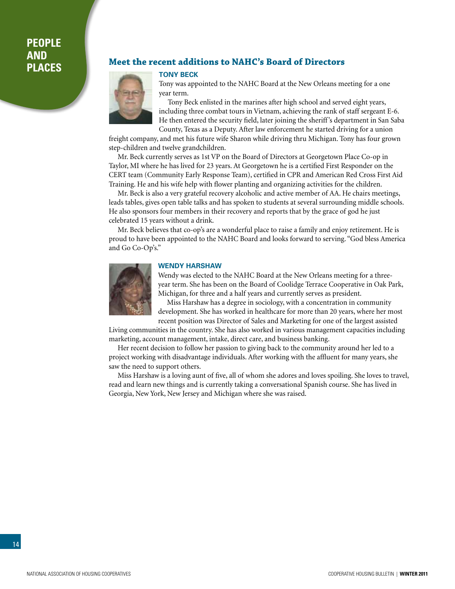## <span id="page-13-0"></span>**People and**

### **Places Meet the recent additions to NAHC's Board of Directors**



Tony was appointed to the NAHC Board at the New Orleans meeting for a one year term.

Tony Beck enlisted in the marines after high school and served eight years, including three combat tours in Vietnam, achieving the rank of staff sergeant E-6. He then entered the security field, later joining the sheriff's department in San Saba County, Texas as a Deputy. After law enforcement he started driving for a union

freight company, and met his future wife Sharon while driving thru Michigan. Tony has four grown step-children and twelve grandchildren.

Mr. Beck currently serves as 1st VP on the Board of Directors at Georgetown Place Co-op in Taylor, MI where he has lived for 23 years. At Georgetown he is a certified First Responder on the CERT team (Community Early Response Team), certified in CPR and American Red Cross First Aid Training. He and his wife help with flower planting and organizing activities for the children.

Mr. Beck is also a very grateful recovery alcoholic and active member of AA. He chairs meetings, leads tables, gives open table talks and has spoken to students at several surrounding middle schools. He also sponsors four members in their recovery and reports that by the grace of god he just celebrated 15 years without a drink.

Mr. Beck believes that co-op's are a wonderful place to raise a family and enjoy retirement. He is proud to have been appointed to the NAHC Board and looks forward to serving. "God bless America and Go Co-Op's."



#### **Wendy Harshaw**

Wendy was elected to the NAHC Board at the New Orleans meeting for a threeyear term. She has been on the Board of Coolidge Terrace Cooperative in Oak Park, Michigan, for three and a half years and currently serves as president.

Miss Harshaw has a degree in sociology, with a concentration in community development. She has worked in healthcare for more than 20 years, where her most recent position was Director of Sales and Marketing for one of the largest assisted

Living communities in the country. She has also worked in various management capacities including marketing, account management, intake, direct care, and business banking.

Her recent decision to follow her passion to giving back to the community around her led to a project working with disadvantage individuals. After working with the affluent for many years, she saw the need to support others.

Miss Harshaw is a loving aunt of five, all of whom she adores and loves spoiling. She loves to travel, read and learn new things and is currently taking a conversational Spanish course. She has lived in Georgia, New York, New Jersey and Michigan where she was raised.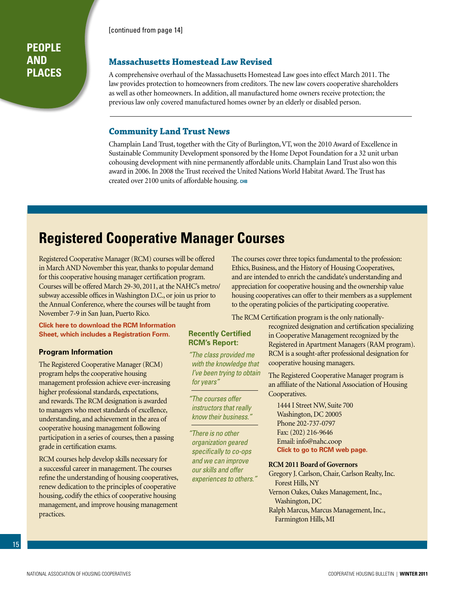[\[continued from page 14\]](#page-13-0)

#### <span id="page-14-0"></span>**People and Places**

#### **Massachusetts Homestead Law Revised**

A comprehensive overhaul of the Massachusetts Homestead Law goes into effect March 2011. The law provides protection to homeowners from creditors. The new law covers cooperative shareholders as well as other homeowners. In addition, all manufactured home owners receive protection; the previous law only covered manufactured homes owner by an elderly or disabled person.

#### **Community Land Trust News**

Champlain Land Trust, together with the City of Burlington, VT, won the 2010 Award of Excellence in Sustainable Community Development sponsored by the Home Depot Foundation for a 32 unit urban cohousing development with nine permanently affordable units. Champlain Land Trust also won this award in 2006. In 2008 the Trust received the United Nations World Habitat Award. The Trust has created over 2100 units of affordable housing. **chb**

## **Registered Cooperative Manager Courses**

Registered Cooperative Manager (RCM) courses will be offered in March AND November this year, thanks to popular demand for this cooperative housing manager certification program. Courses will be offered March 29-30, 2011, at the NAHC's metro/ subway accessible offices in Washington D.C., or join us prior to the Annual Conference, where the courses will be taught from November 7-9 in San Juan, Puerto Rico.

#### **Click here to download the RCM Information [Sheet, which includes a Registration Form.](http://www.coophousing.org/DisplayPage.aspx?id=146&bMenu=88&bItem=146)**

#### **Program Information**

The Registered Cooperative Manager (RCM) program helps the cooperative housing management profession achieve ever-increasing higher professional standards, expectations, and rewards. The RCM designation is awarded to managers who meet standards of excellence, understanding, and achievement in the area of cooperative housing management following participation in a series of courses, then a passing grade in certification exams.

RCM courses help develop skills necessary for a successful career in management. The courses refine the understanding of housing cooperatives, renew dedication to the principles of cooperative housing, codify the ethics of cooperative housing management, and improve housing management practices.

The courses cover three topics fundamental to the profession: Ethics, Business, and the History of Housing Cooperatives, and are intended to enrich the candidate's understanding and appreciation for cooperative housing and the ownership value housing cooperatives can offer to their members as a supplement to the operating policies of the participating cooperative.

The RCM Certification program is the only nationally-

#### **Recently Certified RCM's Report:**

*"The class provided me with the knowledge that I've been trying to obtain for years"*

*"The courses offer instructors that really know their business."*

*"There is no other organization geared specifically to co-ops and we can improve our skills and offer experiences to others."* recognized designation and certification specializing in Cooperative Management recognized by the Registered in Apartment Managers (RAM program). RCM is a sought-after professional designation for cooperative housing managers.

The Registered Cooperative Manager program is an affiliate of the National Association of Housing Cooperatives.

1444 I Street NW, Suite 700 Washington, DC 20005 Phone 202-737-0797 Fax: (202) 216-9646 Email: info@nahc.coop **[Click to go to RCM web page.](http://www.coophousing.org/DisplayPage.aspx?id=146&bMenu=88&bItem=146)**

#### **RCM 2011 Board of Governors**

Gregory J. Carlson, Chair, Carlson Realty, Inc. Forest Hills, NY Vernon Oakes, Oakes Management, Inc., Washington, DC Ralph Marcus, Marcus Management, Inc., Farmington Hills, MI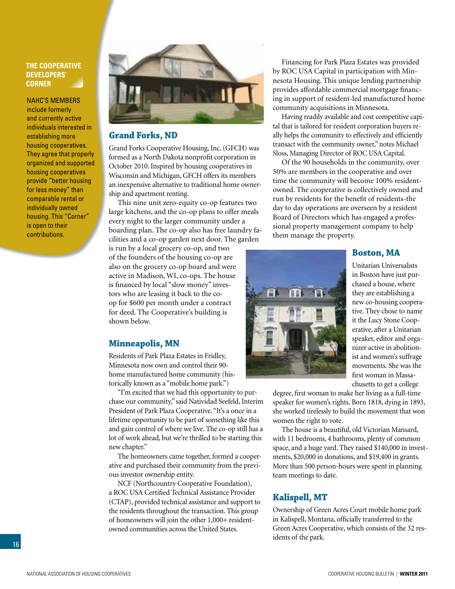#### <span id="page-15-0"></span>**The Cooperative Developers' Corner**

NAHC's members include formerly and currently active individuals interested in establishing more housing cooperatives. They agree that properly organized and supported housing cooperatives provide "better housing for less money" than comparable rental or individually owned housing. This "Corner" is open to their contributions.



#### **Grand Forks, ND**

Grand Forks Cooperative Housing, Inc. (GFCH) was formed as a North Dakota nonprofit corporation in October 2010. Inspired by housing cooperatives in Wisconsin and Michigan, GFCH offers its members an inexpensive alternative to traditional home ownership and apartment renting.

This nine unit zero-equity co-op features two large kitchens, and the co-op plans to offer meals every night to the larger community under a boarding plan. The co-op also has free laundry facilities and a co-op garden next door. The garden

is run by a local grocery co-op, and two of the founders of the housing co-op are also on the grocery co-op board and were active in Madison, WI, co-ops. The house is financed by local "slow money" investors who are leasing it back to the coop for \$600 per month under a contract for deed. The Cooperative's building is shown below.

#### **Minneapolis, MN**

Residents of Park Plaza Estates in Fridley, Minnesota now own and control their 90 home manufactured home community (historically known as a "mobile home park.")

"I'm excited that we had this opportunity to purchase our community," said Natividad Seefeld, Interim President of Park Plaza Cooperative. "It's a once in a lifetime opportunity to be part of something like this and gain control of where we live. The co-op still has a lot of work ahead, but we're thrilled to be starting this new chapter."

The homeowners came together, formed a cooperative and purchased their community from the previous investor ownership entity.

NCF (Northcountry Cooperative Foundation), a ROC USA Certified Technical Assistance Provider (CTAP), provided technical assistance and support to the residents throughout the transaction. This group of homeowners will join the other 1,000+ residentowned communities across the United States.

Financing for Park Plaza Estates was provided by ROC USA Capital in participation with Minnesota Housing. This unique lending partnership provides affordable commercial mortgage financing in support of resident-led manufactured home community acquisitions in Minnesota.

Having readily available and cost competitive capital that is tailored for resident corporation buyers really helps the community to effectively and efficiently transact with the community owner," notes Michael Sloss, Managing Director of ROC USA Capital.

Of the 90 households in the community, over 50% are members in the cooperative and over time the community will become 100% residentowned. The cooperative is collectively owned and run by residents for the benefit of residents-the day to day operations are overseen by a resident Board of Directors which has engaged a professional property management company to help them manage the property.

#### **Boston, MA**



Unitarian Universalists in Boston have just purchased a house, where they are establishing a new co-housing cooperative. They chose to name it the Lucy Stone Cooperative, after a Unitarian speaker, editor and organizer active in abolitionist and women's suffrage movements. She was the first woman in Massachusetts to get a college

degree, first woman to make her living as a full-time speaker for women's rights. Born 1818, dying in 1893, she worked tirelessly to build the movement that won women the right to vote.

The house is a beautiful, old Victorian Mansard, with 11 bedrooms, 4 bathrooms, plenty of common space, and a huge yard. They raised \$140,000 in investments, \$20,000 in donations, and \$19,400 in grants. More than 500 person-hours were spent in planning team meetings to date.

#### **Kalispell, MT**

Ownership of Green Acres Court mobile home park in Kalispell, Montana, officially transferred to the Green Acres Cooperative, which consists of the 32 residents of the park.